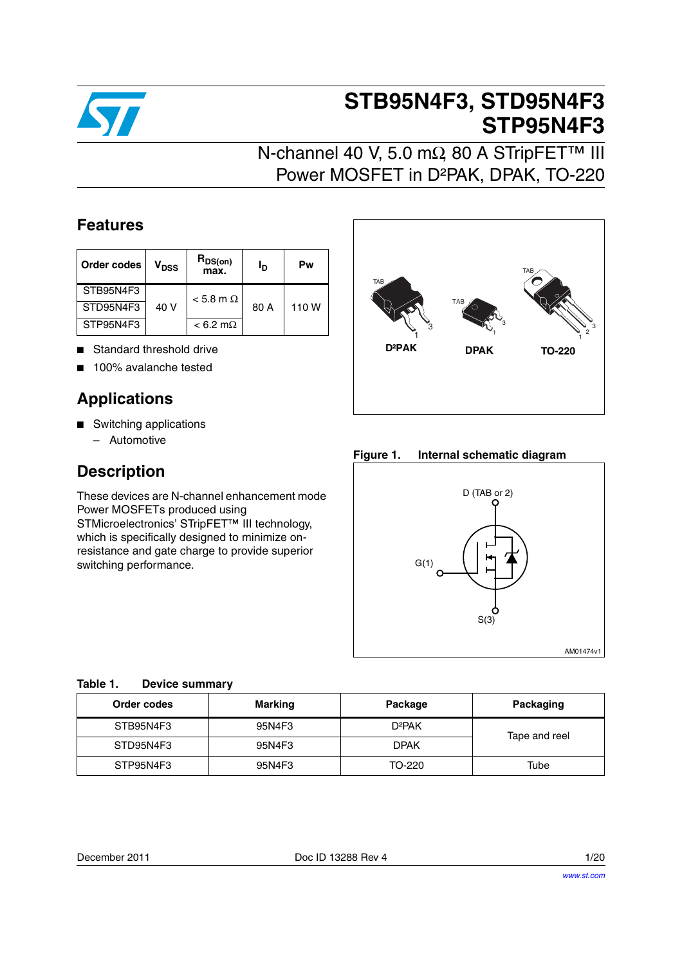

# **STB95N4F3, STD95N4F3 STP95N4F3**

## N-channel 40 V, 5.0 mΩ, 80 A STripFET™ III Power MOSFET in D²PAK, DPAK, TO-220

### **Features**

| Order codes | V <sub>DSS</sub> | $R_{DS(on)}$<br>max. | Ιŋ   | Pw    |
|-------------|------------------|----------------------|------|-------|
| STB95N4F3   |                  | $< 5.8$ m $\Omega$   |      |       |
| STD95N4F3   | 40 V             |                      | 80 A | 110 W |
| STP95N4F3   |                  | $< 6.2$ m $\Omega$   |      |       |

- Standard threshold drive
- 100% avalanche tested

### **Applications**

- Switching applications
	- Automotive

### **Description**

These devices are N-channel enhancement mode Power MOSFETs produced using STMicroelectronics' STripFET<sup>™</sup> III technology, which is specifically designed to minimize onresistance and gate charge to provide superior switching performance.



**Figure 1. Internal schematic diagram**



#### **Table 1. Device summary**

| Order codes | Marking | Package            | Packaging     |
|-------------|---------|--------------------|---------------|
| STB95N4F3   | 95N4F3  | D <sup>2</sup> PAK | Tape and reel |
| STD95N4F3   | 95N4F3  | <b>DPAK</b>        |               |
| STP95N4F3   | 95N4F3  | TO-220             | Tube          |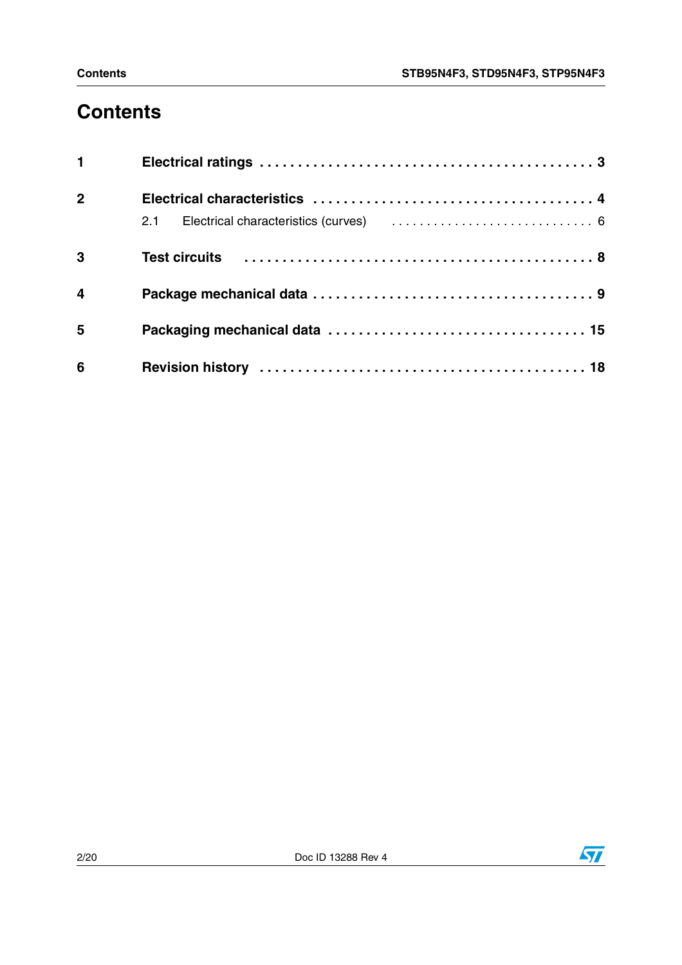## **Contents**

| $1 \quad \blacksquare$  |  |
|-------------------------|--|
| $\overline{2}$          |  |
|                         |  |
| $\overline{\mathbf{3}}$ |  |
| $\overline{\mathbf{4}}$ |  |
| 5                       |  |
| 6                       |  |

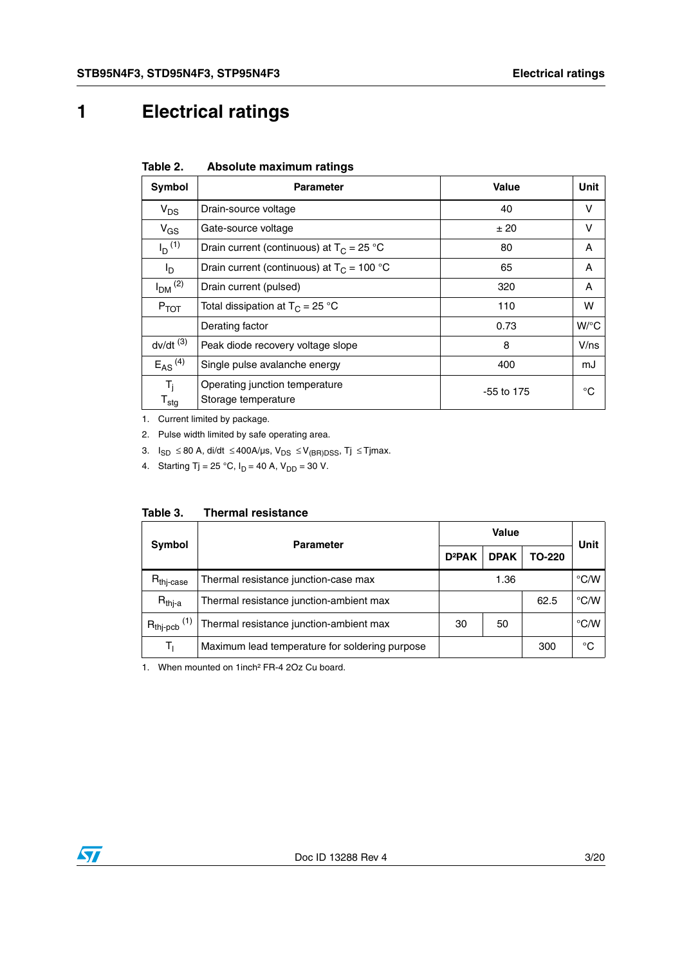## <span id="page-2-0"></span>**1 Electrical ratings**

| Absolute maximum ratings | Table 2. |  |  |
|--------------------------|----------|--|--|
|--------------------------|----------|--|--|

| Symbol                               | <b>Parameter</b>                                      | Value        | <b>Unit</b> |
|--------------------------------------|-------------------------------------------------------|--------------|-------------|
| $V_{DS}$                             | Drain-source voltage                                  | 40           | v           |
| $V_{GS}$                             | Gate-source voltage                                   | ±20          | v           |
| $I_D$ <sup>(1)</sup>                 | Drain current (continuous) at $T_c = 25$ °C           | 80           | A           |
| I <sub>D</sub>                       | Drain current (continuous) at $T_C = 100 °C$          | 65           | A           |
| $I_{DM}$ <sup>(2)</sup>              | Drain current (pulsed)                                | 320          | A           |
| $P_{TOT}$                            | Total dissipation at $T_C = 25 °C$                    | 110          | w           |
|                                      | Derating factor                                       | 0.73         | $W$ /°C     |
| $dv/dt$ <sup>(3)</sup>               | Peak diode recovery voltage slope                     | 8            | V/ns        |
| $E_{AS}$ <sup>(4)</sup>              | Single pulse avalanche energy                         | 400          | mJ          |
| $T_i$<br>$\mathsf{T}_{\mathsf{stg}}$ | Operating junction temperature<br>Storage temperature | $-55$ to 175 | °C          |

1. Current limited by package.

2. Pulse width limited by safe operating area.

3.  $I_{SD}$  ≤ 80 A, di/dt ≤ 400A/µs,  $V_{DS}$  ≤  $V_{(BR)DSS}$ , Tj ≤ Tjmax.

4. Starting Tj = 25 °C,  $I_D$  = 40 A,  $V_{DD}$  = 30 V.

| Table 3. |  | <b>Thermal resistance</b> |
|----------|--|---------------------------|
|----------|--|---------------------------|

| <b>Symbol</b>                           | <b>Parameter</b>                               |          | Value       |        |               |  |
|-----------------------------------------|------------------------------------------------|----------|-------------|--------|---------------|--|
|                                         |                                                |          | <b>DPAK</b> | TO-220 | Unit          |  |
| $\mathsf{R}_{\mathsf{thj}\text{-case}}$ | Thermal resistance junction-case max           |          | 1.36        |        | $\degree$ C/W |  |
| $R_{thj-a}$                             | Thermal resistance junction-ambient max        |          |             | 62.5   | $\degree$ C/W |  |
| $R_{thj-pcb}$ <sup>(1)</sup>            | Thermal resistance junction-ambient max        | 30<br>50 |             |        | $\degree$ C/W |  |
| Tı                                      | Maximum lead temperature for soldering purpose |          |             | 300    | °C            |  |

1. When mounted on 1inch² FR-4 2Oz Cu board.

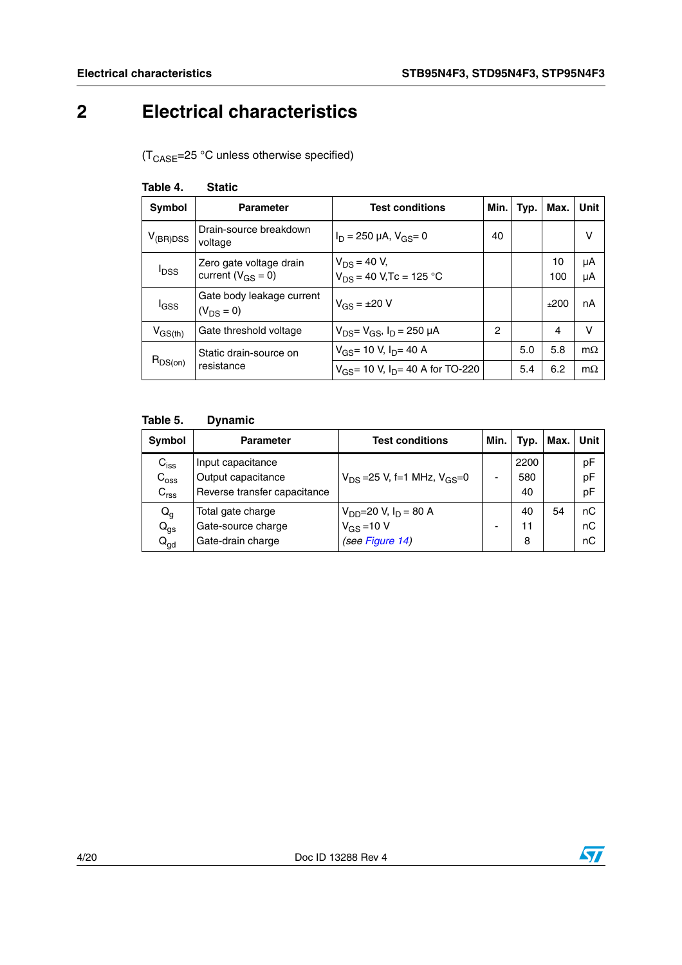## <span id="page-3-0"></span>**2 Electrical characteristics**

 $(T_{\text{CASE}}=25 \text{ °C}$  unless otherwise specified)

| 1991 <del>0 T</del> .   | olalıu                                              |                                                        |      |      |           |           |
|-------------------------|-----------------------------------------------------|--------------------------------------------------------|------|------|-----------|-----------|
| <b>Symbol</b>           | <b>Parameter</b>                                    | <b>Test conditions</b>                                 | Min. | Typ. | Max.      | Unit      |
| $V_{(BR)DSS}$           | Drain-source breakdown<br>voltage                   | $I_D = 250 \mu A$ , $V_{GS} = 0$                       | 40   |      |           | ν         |
| <b>I</b> <sub>DSS</sub> | Zero gate voltage drain<br>current ( $V_{GS} = 0$ ) | $V_{DS}$ = 40 V,<br>V <sub>DS</sub> = 40 V,Tc = 125 °C |      |      | 10<br>100 | μA<br>μA  |
|                         |                                                     |                                                        |      |      |           |           |
| <b>I</b> GSS            | Gate body leakage current<br>$(V_{DS} = 0)$         | $V_{GS} = \pm 20 V$                                    |      |      | ±200      | nA        |
| $V_{GS(th)}$            | Gate threshold voltage                              | $V_{DS} = V_{GS}$ , $I_D = 250 \mu A$                  | 2    |      | 4         | v         |
| $R_{DS(on)}$            | Static drain-source on<br>resistance                | $V_{GS}$ = 10 V, $I_{D}$ = 40 A                        |      | 5.0  | 5.8       | $m\Omega$ |
|                         |                                                     | $V_{GS}$ = 10 V, I <sub>D</sub> = 40 A for TO-220      |      | 5.4  | 6.2       | $m\Omega$ |

### **Table 4. Static**

#### **Table 5. Dynamic**

| <b>Symbol</b>    | <b>Parameter</b>             | <b>Test conditions</b>               | Min. | Typ. | Max. | <b>Unit</b> |
|------------------|------------------------------|--------------------------------------|------|------|------|-------------|
| $C_{iss}$        | Input capacitance            |                                      |      | 2200 |      | pF          |
| $C_{\rm oss}$    | Output capacitance           | $V_{DS}$ =25 V, f=1 MHz, $V_{GS}$ =0 |      | 580  |      | pF          |
| $C_{\text{rss}}$ | Reverse transfer capacitance |                                      |      | 40   |      | pF          |
| $Q_g$            | Total gate charge            | $V_{DD} = 20 V, I_D = 80 A$          |      | 40   | 54   | nC          |
| $Q_{gs}$         | Gate-source charge           | $V_{GS}$ = 10 V                      |      | 11   |      | nC          |
| $Q_{\text{gd}}$  | Gate-drain charge            | (see Figure 14)                      |      | 8    |      | nС          |

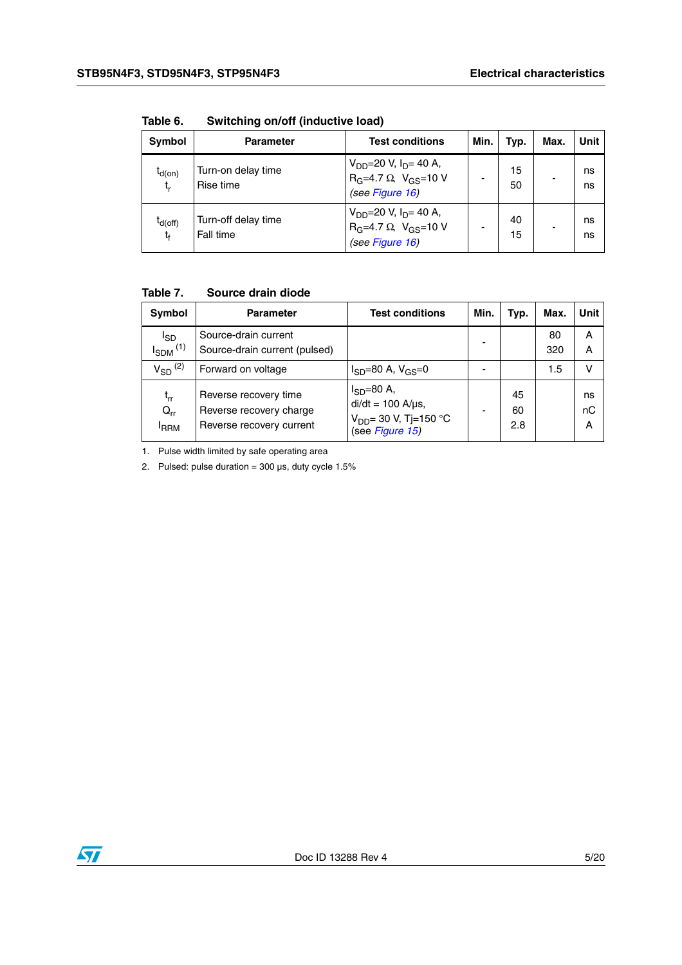| <b>Symbol</b>                  | <b>Parameter</b>                 | <b>Test conditions</b>                                                                  | Min. | Typ.     | Max. | Unit     |
|--------------------------------|----------------------------------|-----------------------------------------------------------------------------------------|------|----------|------|----------|
| $I_{d(on)}$<br>$t_{r}$         | Turn-on delay time<br>Rise time  | $V_{DD} = 20 V, I_D = 40 A,$<br>$R_G=4.7 \Omega$ , $V_{GS}=10 V$<br>(see Figure 16)     |      | 15<br>50 |      | ns<br>ns |
| $I_{d(off)}$<br>t <sub>f</sub> | Turn-off delay time<br>Fall time | $V_{DD} = 20 V, I_D = 40 A,$<br>$R_G$ =4.7 $\Omega$ , $V_{GS}$ =10 V<br>(see Figure 16) |      | 40<br>15 |      | ns<br>ns |

**Table 6. Switching on/off (inductive load)**

#### **Table 7. Source drain diode**

| Symbol                                                  | <b>Parameter</b>                                                             | <b>Test conditions</b>                                                                         | Min. | Typ.            | Max.      | Unit          |
|---------------------------------------------------------|------------------------------------------------------------------------------|------------------------------------------------------------------------------------------------|------|-----------------|-----------|---------------|
| l <sub>SD</sub><br>$I_{SDM}$ <sup>(1)</sup>             | Source-drain current<br>Source-drain current (pulsed)                        |                                                                                                |      |                 | 80<br>320 | A<br>A        |
| $V_{SD}$ <sup>(2)</sup>                                 | Forward on voltage                                                           | $I_{SD} = 80$ A, $V_{GS} = 0$                                                                  |      |                 | 1.5       | v             |
| $\mathfrak{t}_{\mathsf{rr}}$<br>$Q_{rr}$<br><b>IRRM</b> | Reverse recovery time<br>Reverse recovery charge<br>Reverse recovery current | $I_{SD} = 80$ A,<br>$di/dt = 100$ A/ $\mu$ s,<br>$V_{DD}$ = 30 V, Tj=150 °C<br>(see Figure 15) |      | 45<br>60<br>2.8 |           | ns<br>nC<br>A |

1. Pulse width limited by safe operating area

2. Pulsed: pulse duration =  $300 \,\mu s$ , duty cycle  $1.5\%$ 

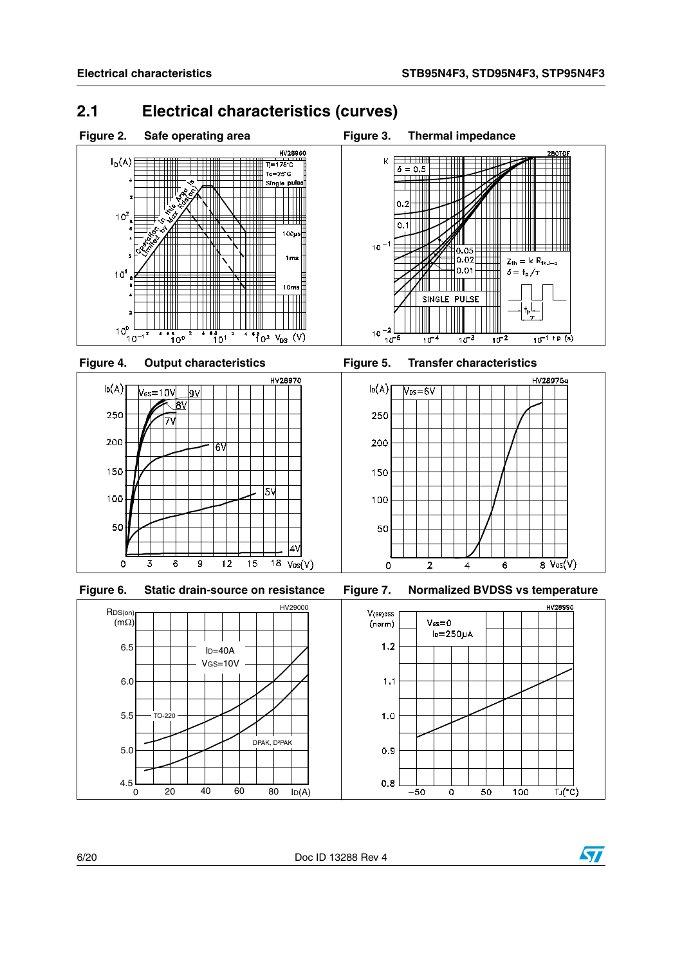### <span id="page-5-0"></span>**2.1 Electrical characteristics (curves)**



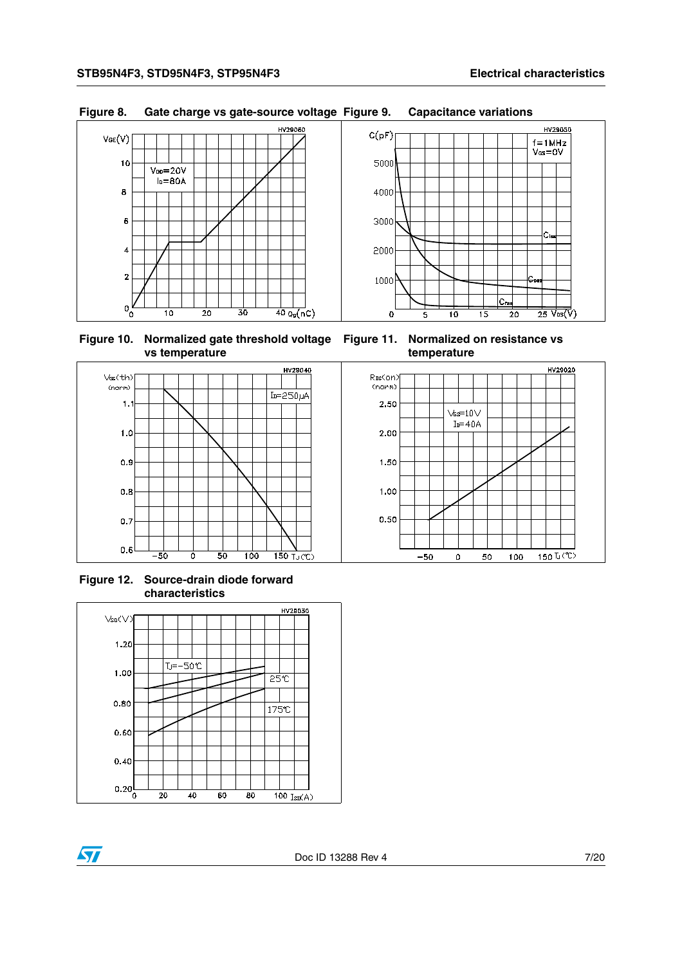

#### **Figure 8. Gate charge vs gate-source voltage Figure 9. Capacitance variations**

**Figure 10. Normalized gate threshold voltage Figure 11. Normalized on resistance vs vs temperature**





**Figure 12. Source-drain diode forward characteristics**



57



50

100

 $-50$ 

 $\mathsf{o}$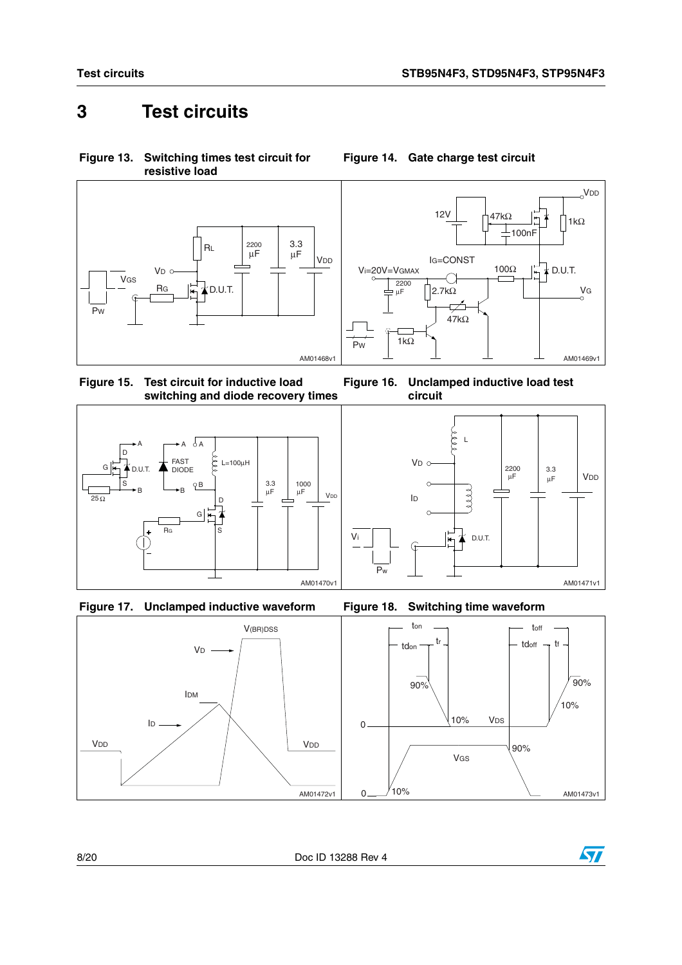## <span id="page-7-0"></span>**3 Test circuits**

**Figure 13. Switching times test circuit for resistive load**



<span id="page-7-3"></span>**Figure 15. Test circuit for inductive load switching and diode recovery times**









<span id="page-7-1"></span>**Figure 14. Gate charge test circuit**

<span id="page-7-2"></span>**Figure 16. Unclamped inductive load test circuit**





8/20 Doc ID 13288 Rev 4

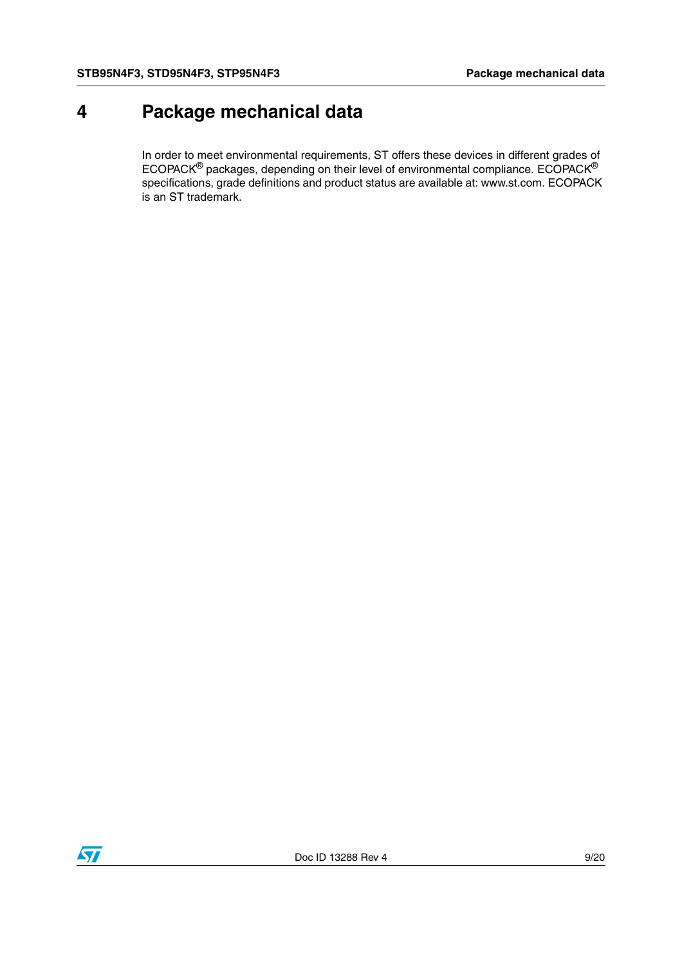## <span id="page-8-0"></span>**4 Package mechanical data**

In order to meet environmental requirements, ST offers these devices in different grades of ECOPACK® packages, depending on their level of environmental compliance. ECOPACK® specifications, grade definitions and product status are available at: www.st.com. ECOPACK is an ST trademark.

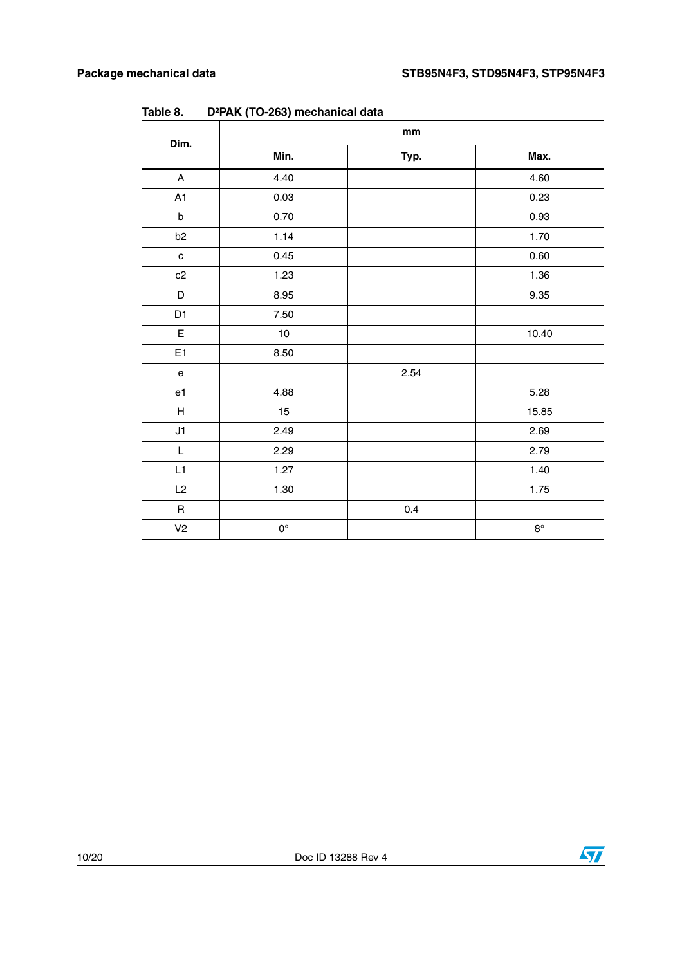|                                            |             | mm   |             |  |  |
|--------------------------------------------|-------------|------|-------------|--|--|
| Dim.                                       | Min.        | Typ. | Max.        |  |  |
| A                                          | 4.40        |      | 4.60        |  |  |
| A1                                         | 0.03        |      | 0.23        |  |  |
| $\sf b$                                    | 0.70        |      | 0.93        |  |  |
| b <sub>2</sub>                             | 1.14        |      | 1.70        |  |  |
| ${\bf c}$                                  | 0.45        |      | 0.60        |  |  |
| c2                                         | 1.23        |      | 1.36        |  |  |
| D                                          | 8.95        |      | 9.35        |  |  |
| D1                                         | 7.50        |      |             |  |  |
| E                                          | $10\,$      |      | 10.40       |  |  |
| E <sub>1</sub>                             | 8.50        |      |             |  |  |
| $\mathsf{e}% _{0}\left( \mathsf{e}\right)$ |             | 2.54 |             |  |  |
| e1                                         | 4.88        |      | 5.28        |  |  |
| $\boldsymbol{\mathsf{H}}$                  | 15          |      | 15.85       |  |  |
| J1                                         | 2.49        |      | 2.69        |  |  |
| L                                          | 2.29        |      | 2.79        |  |  |
| L1                                         | 1.27        |      | 1.40        |  |  |
| L2                                         | 1.30        |      | 1.75        |  |  |
| $\sf R$                                    |             | 0.4  |             |  |  |
| V <sub>2</sub>                             | $0^{\circ}$ |      | $8^{\circ}$ |  |  |

<span id="page-9-0"></span>**Table 8. D²PAK (TO-263) mechanical data**

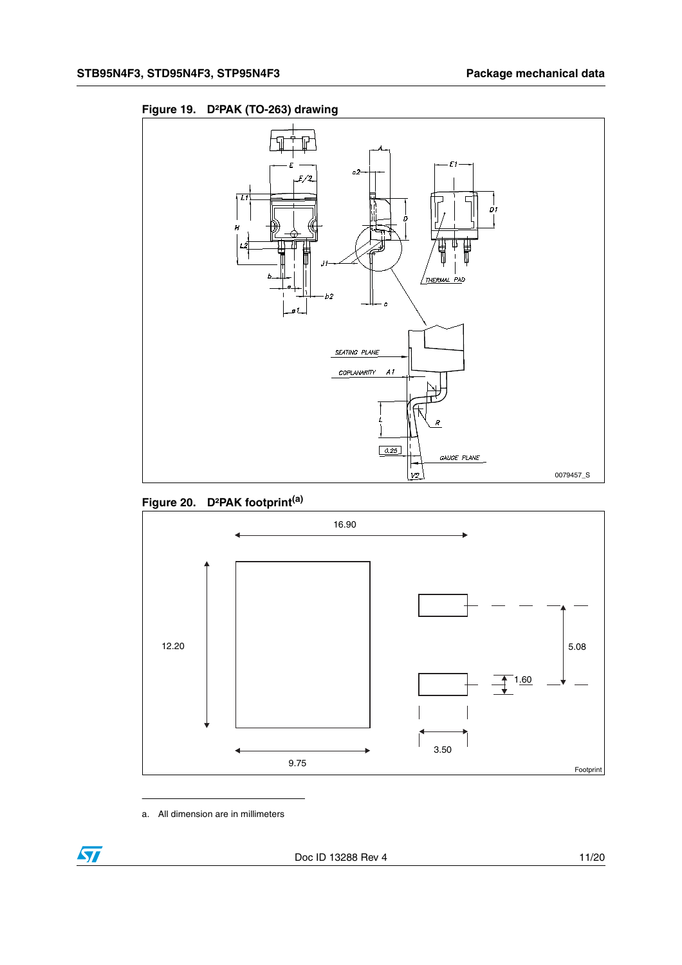<span id="page-10-0"></span>



<span id="page-10-1"></span>



a. All dimension are in millimeters

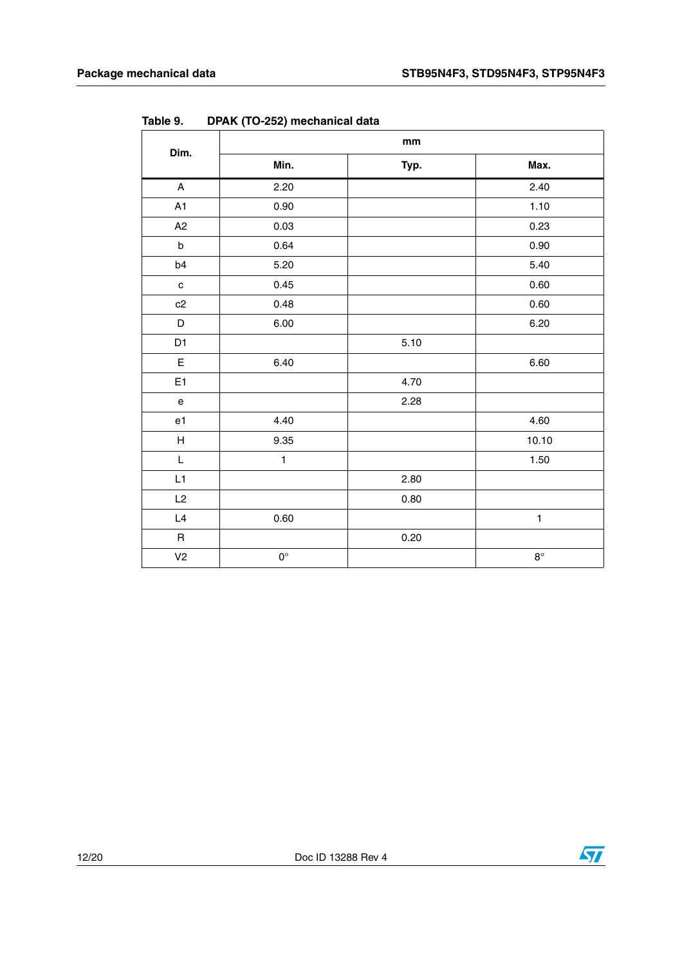| Dim.                                                                                                        | $\mathop{\text{mm}}\nolimits$ |      |             |  |
|-------------------------------------------------------------------------------------------------------------|-------------------------------|------|-------------|--|
|                                                                                                             | Min.                          | Typ. | Max.        |  |
| $\boldsymbol{\mathsf{A}}$                                                                                   | 2.20                          |      | 2.40        |  |
| A1                                                                                                          | 0.90                          |      | 1.10        |  |
| A <sub>2</sub>                                                                                              | 0.03                          |      | 0.23        |  |
| $\sf b$                                                                                                     | 0.64                          |      | 0.90        |  |
| b4                                                                                                          | 5.20                          |      | 5.40        |  |
| $\mathbf c$                                                                                                 | 0.45                          |      | 0.60        |  |
| c2                                                                                                          | 0.48                          |      | $0.60\,$    |  |
| D                                                                                                           | 6.00                          |      | 6.20        |  |
| D1                                                                                                          |                               | 5.10 |             |  |
| $\mathsf E$                                                                                                 | 6.40                          |      | 6.60        |  |
| E1                                                                                                          |                               | 4.70 |             |  |
| $\mathsf{e}% _{0}\left( \mathsf{e}\right)$                                                                  |                               | 2.28 |             |  |
| e1                                                                                                          | 4.40                          |      | 4.60        |  |
| $\boldsymbol{\mathsf{H}}$                                                                                   | 9.35                          |      | 10.10       |  |
| $\mathsf{L}% _{0}\left( \mathsf{L}_{0}\right) ^{\ast }=\mathsf{L}_{0}\left( \mathsf{L}_{0}\right) ^{\ast }$ | $\mathbf{1}$                  |      | 1.50        |  |
| L1                                                                                                          |                               | 2.80 |             |  |
| L2                                                                                                          |                               | 0.80 |             |  |
| $\mathsf{L}4$                                                                                               | 0.60                          |      | 1           |  |
| $\sf R$                                                                                                     |                               | 0.20 |             |  |
| V <sub>2</sub>                                                                                              | $0^{\circ}$                   |      | $8^{\circ}$ |  |

**Table 9. DPAK (TO-252) mechanical data**





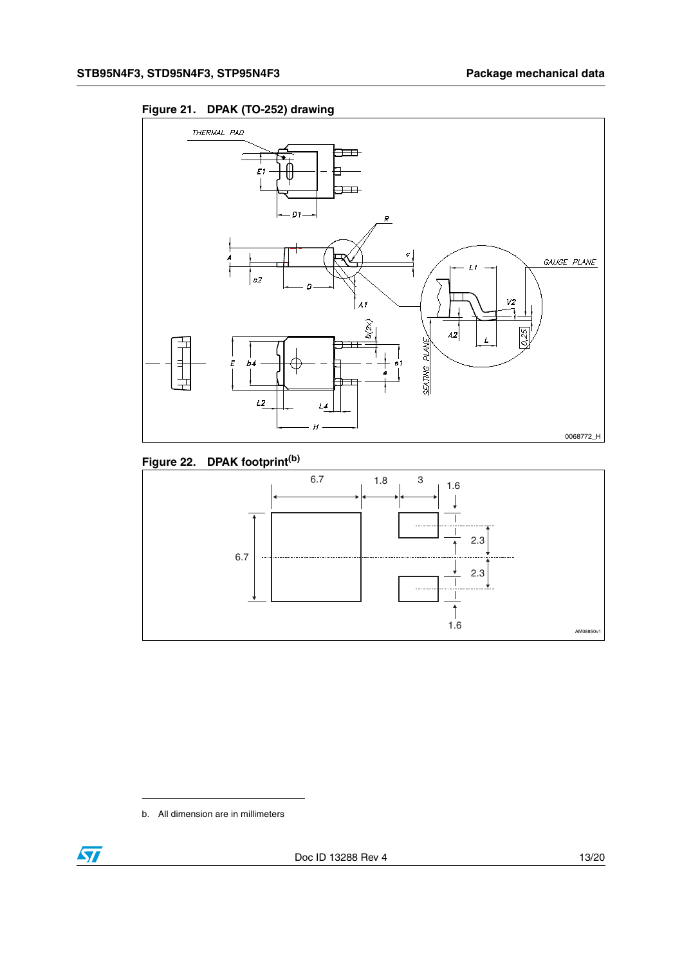



#### **Figure 22. DPAK footprint(b)**



b. All dimension are in millimeters

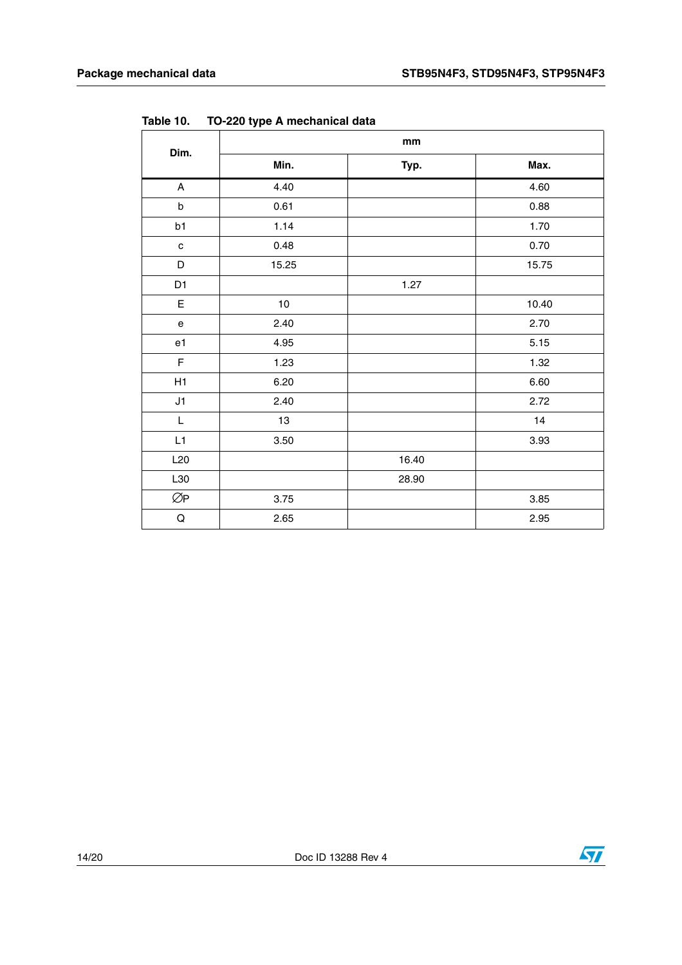| Dim.                                           | mm    |       |       |  |
|------------------------------------------------|-------|-------|-------|--|
|                                                | Min.  | Typ.  | Max.  |  |
| $\boldsymbol{\mathsf{A}}$                      | 4.40  |       | 4.60  |  |
| $\sf b$                                        | 0.61  |       | 0.88  |  |
| b1                                             | 1.14  |       | 1.70  |  |
| $\mathbf{C}$                                   | 0.48  |       | 0.70  |  |
| D                                              | 15.25 |       | 15.75 |  |
| D1                                             |       | 1.27  |       |  |
| E                                              | $10$  |       | 10.40 |  |
| $\mathsf{e}% _{t}\left( t\right)$              | 2.40  |       | 2.70  |  |
| e1                                             | 4.95  |       | 5.15  |  |
| $\mathsf F$                                    | 1.23  |       | 1.32  |  |
| H1                                             | 6.20  |       | 6.60  |  |
| J1                                             | 2.40  |       | 2.72  |  |
| $\mathsf{L}% _{0}\left( \mathsf{L}_{1}\right)$ | 13    |       | 14    |  |
| L1                                             | 3.50  |       | 3.93  |  |
| L20                                            |       | 16.40 |       |  |
| L30                                            |       | 28.90 |       |  |
| ØP                                             | 3.75  |       | 3.85  |  |
| $\mathsf Q$                                    | 2.65  |       | 2.95  |  |

**Table 10. TO-220 type A mechanical data**



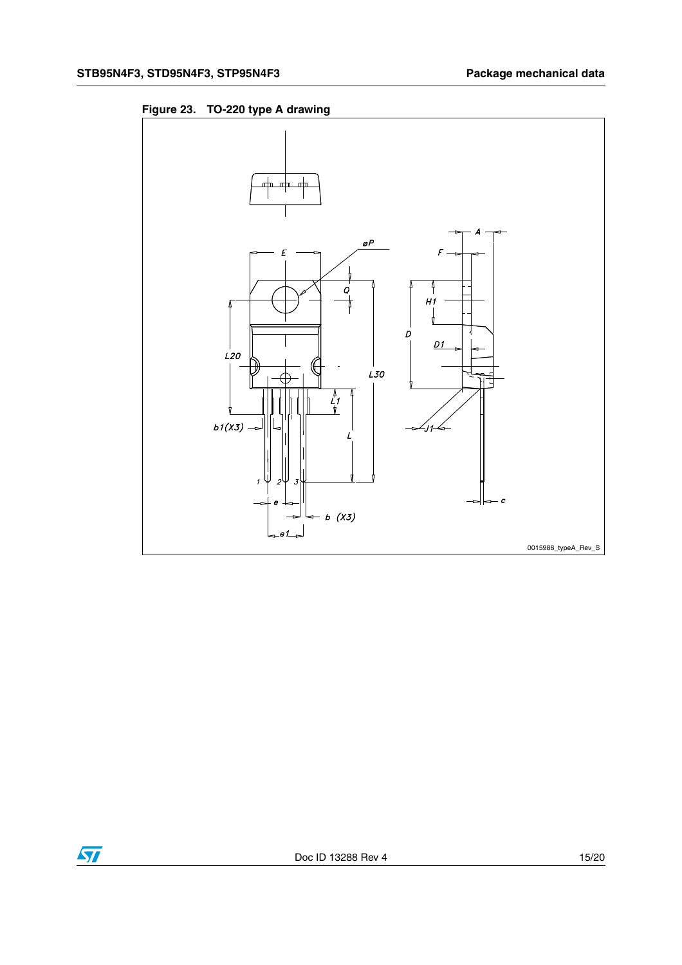



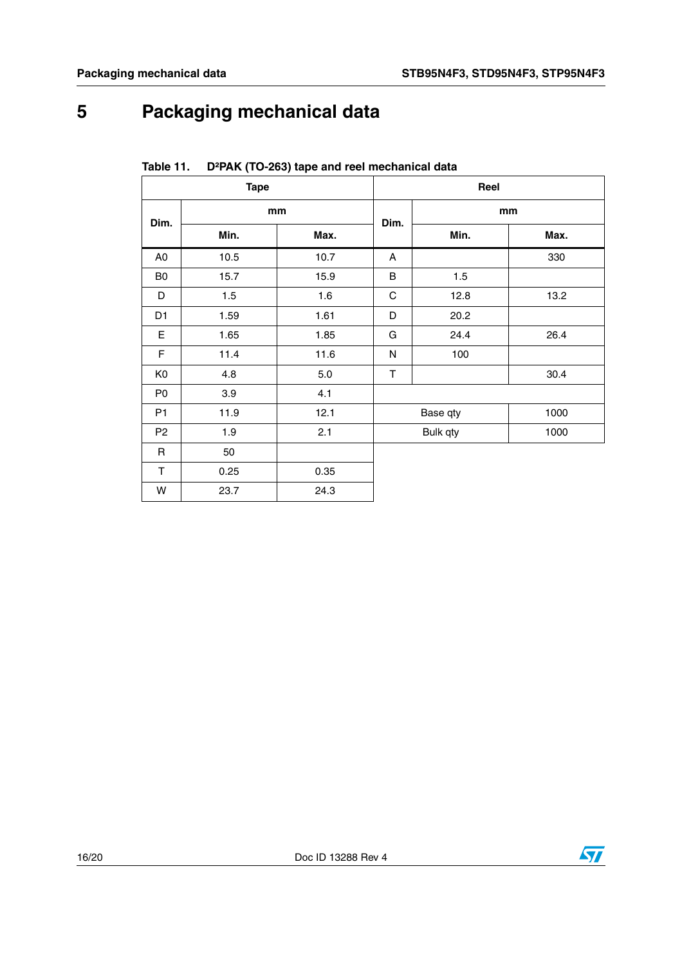## <span id="page-15-0"></span>**5 Packaging mechanical data**

| <b>Tape</b>    |      | Reel |             |          |      |
|----------------|------|------|-------------|----------|------|
| Dim.           | mm   |      | Dim.        | mm       |      |
|                | Min. | Max. |             | Min.     | Max. |
| A0             | 10.5 | 10.7 | A           |          | 330  |
| B <sub>0</sub> | 15.7 | 15.9 | B           | 1.5      |      |
| D              | 1.5  | 1.6  | $\mathsf C$ | 12.8     | 13.2 |
| D <sub>1</sub> | 1.59 | 1.61 | D           | 20.2     |      |
| E              | 1.65 | 1.85 | G           | 24.4     | 26.4 |
| $\mathsf F$    | 11.4 | 11.6 | N           | 100      |      |
| K <sub>0</sub> | 4.8  | 5.0  | T           |          | 30.4 |
| P <sub>0</sub> | 3.9  | 4.1  |             |          |      |
| P <sub>1</sub> | 11.9 | 12.1 |             | Base qty | 1000 |
| P <sub>2</sub> | 1.9  | 2.1  |             | Bulk qty | 1000 |
| $\mathsf R$    | 50   |      |             |          |      |
| T              | 0.25 | 0.35 |             |          |      |
| W              | 23.7 | 24.3 |             |          |      |

<span id="page-15-1"></span>**Table 11. D²PAK (TO-263) tape and reel mechanical data**

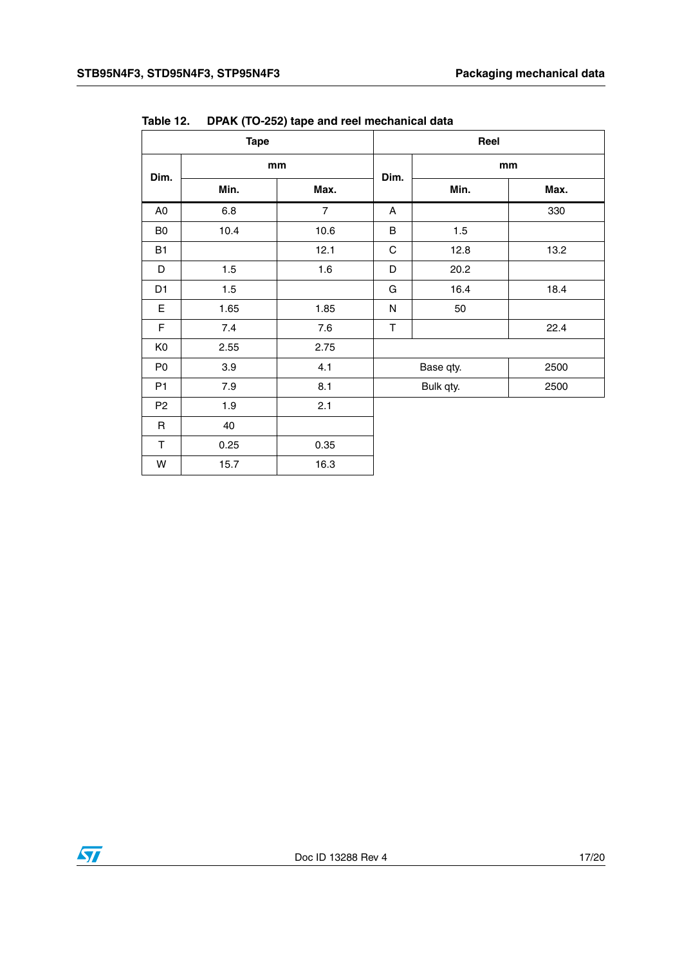| <b>Tape</b>    |      | Reel           |             |           |      |
|----------------|------|----------------|-------------|-----------|------|
| Dim.           | mm   |                | Dim.        | mm        |      |
|                | Min. | Max.           |             | Min.      | Max. |
| A <sub>0</sub> | 6.8  | $\overline{7}$ | A           |           | 330  |
| B <sub>0</sub> | 10.4 | 10.6           | $\sf B$     | 1.5       |      |
| <b>B1</b>      |      | 12.1           | $\mathsf C$ | 12.8      | 13.2 |
| D              | 1.5  | 1.6            | D           | 20.2      |      |
| D <sub>1</sub> | 1.5  |                | G           | 16.4      | 18.4 |
| E              | 1.65 | 1.85           | N           | 50        |      |
| $\mathsf F$    | 7.4  | 7.6            | $\top$      |           | 22.4 |
| K <sub>0</sub> | 2.55 | 2.75           |             |           |      |
| P <sub>0</sub> | 3.9  | 4.1            |             | Base qty. | 2500 |
| P1             | 7.9  | 8.1            |             | Bulk qty. | 2500 |
| P <sub>2</sub> | 1.9  | 2.1            |             |           |      |
| $\mathsf R$    | 40   |                |             |           |      |
| T              | 0.25 | 0.35           |             |           |      |
| W              | 15.7 | 16.3           |             |           |      |

**Table 12. DPAK (TO-252) tape and reel mechanical data**

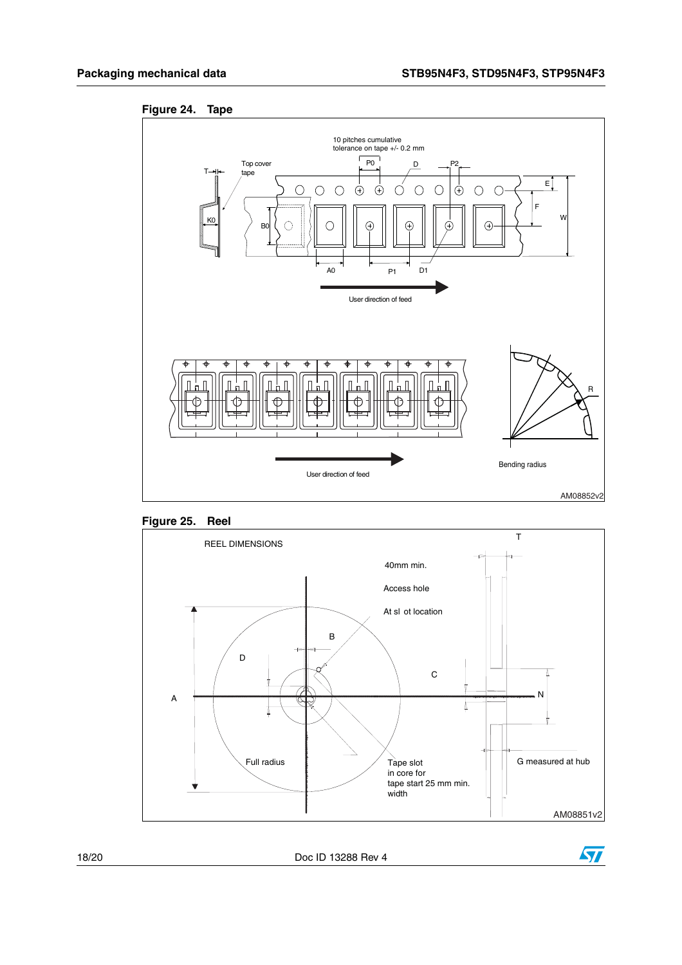<span id="page-17-0"></span>



<span id="page-17-1"></span>



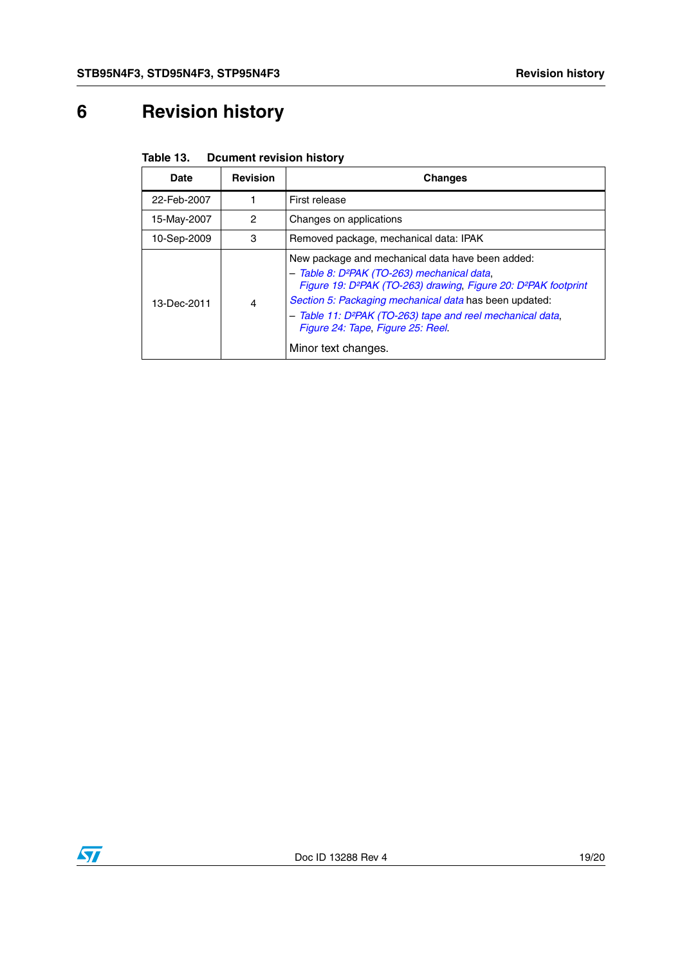## <span id="page-18-0"></span>**6 Revision history**

| Table 13. | <b>Dcument revision history</b> |  |
|-----------|---------------------------------|--|
|-----------|---------------------------------|--|

| Date        | <b>Revision</b> | <b>Changes</b>                                                                                                                                                                                                                                                                                                                                                                                         |
|-------------|-----------------|--------------------------------------------------------------------------------------------------------------------------------------------------------------------------------------------------------------------------------------------------------------------------------------------------------------------------------------------------------------------------------------------------------|
| 22-Feb-2007 |                 | First release                                                                                                                                                                                                                                                                                                                                                                                          |
| 15-May-2007 | $\mathcal{P}$   | Changes on applications                                                                                                                                                                                                                                                                                                                                                                                |
| 10-Sep-2009 | 3               | Removed package, mechanical data: IPAK                                                                                                                                                                                                                                                                                                                                                                 |
| 13-Dec-2011 | 4               | New package and mechanical data have been added:<br>- Table 8: D <sup>2</sup> PAK (TO-263) mechanical data,<br>Figure 19: D <sup>2</sup> PAK (TO-263) drawing, Figure 20: D <sup>2</sup> PAK footprint<br>Section 5: Packaging mechanical data has been updated:<br>- Table 11: D <sup>2</sup> PAK (TO-263) tape and reel mechanical data,<br>Figure 24: Tape, Figure 25: Reel.<br>Minor text changes. |